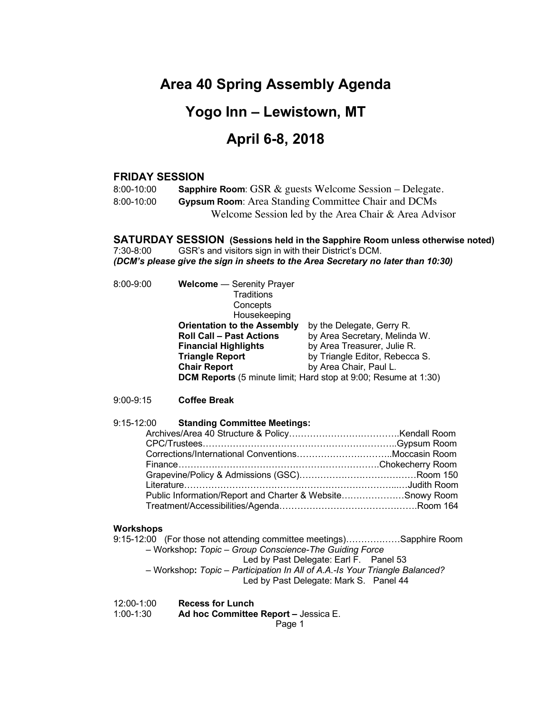# **Area 40 Spring Assembly Agenda**

# **Yogo Inn – Lewistown, MT**

# **April 6-8, 2018**

#### **FRIDAY SESSION**

8:00-10:00 **Sapphire Room**: GSR & guests Welcome Session – Delegate. 8:00-10:00 **Gypsum Room**: Area Standing Committee Chair and DCMs Welcome Session led by the Area Chair & Area Advisor

**SATURDAY SESSION (Sessions held in the Sapphire Room unless otherwise noted)** 7:30-8:00 GSR's and visitors sign in with their District's DCM. *(DCM's please give the sign in sheets to the Area Secretary no later than 10:30)*

| $8:00 - 9:00$ | <b>Welcome</b> - Serenity Prayer<br>Traditions<br>Concepts<br>Housekeeping |                                |
|---------------|----------------------------------------------------------------------------|--------------------------------|
|               | <b>Orientation to the Assembly</b>                                         | by the Delegate, Gerry R.      |
|               | <b>Roll Call - Past Actions</b>                                            | by Area Secretary, Melinda W.  |
|               | <b>Financial Highlights</b>                                                | by Area Treasurer, Julie R.    |
|               | <b>Triangle Report</b>                                                     | by Triangle Editor, Rebecca S. |
|               | <b>Chair Report</b>                                                        | by Area Chair, Paul L.         |
|               | <b>DCM Reports</b> (5 minute limit; Hard stop at 9:00; Resume at 1:30)     |                                |
| $9:00 - 9:15$ | <b>Coffee Break</b>                                                        |                                |

#### 9:15-12:00 **Standing Committee Meetings:**

| Public Information/Report and Charter & WebsiteSnowy Room |  |
|-----------------------------------------------------------|--|
|                                                           |  |

#### **Workshops**

| 9:15-12:00 (For those not attending committee meetings)Sapphire Room                                                  |  |
|-----------------------------------------------------------------------------------------------------------------------|--|
| - Workshop: Topic - Group Conscience-The Guiding Force                                                                |  |
| Led by Past Delegate: Earl F. Panel 53                                                                                |  |
| - Workshop: Topic - Participation In All of A.A.-Is Your Triangle Balanced?<br>Led by Past Delegate: Mark S. Panel 44 |  |
|                                                                                                                       |  |

| 12:00-1:00 | <b>Recess for Lunch</b>              |
|------------|--------------------------------------|
| 1:00-1:30  | Ad hoc Committee Report - Jessica E. |
|            |                                      |

Page 1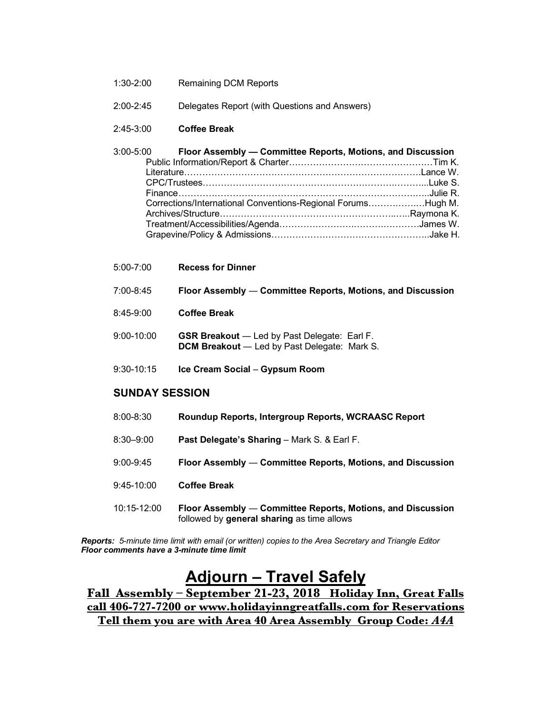- 1:30-2:00 Remaining DCM Reports
- 2:00-2:45 Delegates Report (with Questions and Answers)

#### 2:45-3:00 **Coffee Break**

| 3:00-5:00 Floor Assembly — Committee Reports, Motions, and Discussion |  |
|-----------------------------------------------------------------------|--|
|                                                                       |  |
|                                                                       |  |
|                                                                       |  |
|                                                                       |  |
| Corrections/International Conventions-Regional ForumsHugh M.          |  |
|                                                                       |  |
|                                                                       |  |
|                                                                       |  |

| $5:00 - 7:00$  | <b>Recess for Dinner</b>                                                                                   |
|----------------|------------------------------------------------------------------------------------------------------------|
| 7:00-8:45      | Floor Assembly — Committee Reports, Motions, and Discussion                                                |
| 8:45-9:00      | <b>Coffee Break</b>                                                                                        |
| $9:00 - 10:00$ | <b>GSR Breakout</b> — Led by Past Delegate: Earl F.<br><b>DCM Breakout</b> - Led by Past Delegate: Mark S. |
| $9:30 - 10:15$ | Ice Cream Social - Gypsum Room                                                                             |

## **SUNDAY SESSION**

| 8:00-8:30 | Roundup Reports, Intergroup Reports, WCRAASC Report |  |
|-----------|-----------------------------------------------------|--|
|-----------|-----------------------------------------------------|--|

- 8:30–9:00 **Past Delegate's Sharing** Mark S. & Earl F.
- 9:00-9:45 **Floor Assembly** ― **Committee Reports, Motions, and Discussion**
- 9:45-10:00 **Coffee Break**
- 10:15-12:00 **Floor Assembly** ― **Committee Reports, Motions, and Discussion**  followed by **general sharing** as time allows

*Reports: 5-minute time limit with email (or written) copies to the Area Secretary and Triangle Editor Floor comments have a 3-minute time limit*

# **Adjourn – Travel Safely**

**Fall Assembly – September 21-23, 2018 Holiday Inn, Great Falls call 406-727-7200 or www.holidayinngreatfalls.com for Reservations Tell them you are with Area 40 Area Assembly Group Code:** *A4A*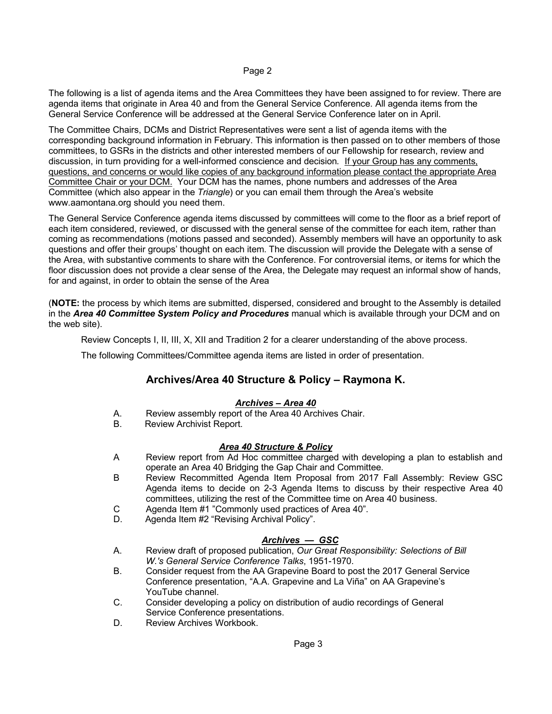#### Page 2

The following is a list of agenda items and the Area Committees they have been assigned to for review. There are agenda items that originate in Area 40 and from the General Service Conference. All agenda items from the General Service Conference will be addressed at the General Service Conference later on in April.

The Committee Chairs, DCMs and District Representatives were sent a list of agenda items with the corresponding background information in February. This information is then passed on to other members of those committees, to GSRs in the districts and other interested members of our Fellowship for research, review and discussion, in turn providing for a well-informed conscience and decision*.* If your Group has any comments, questions, and concerns or would like copies of any background information please contact the appropriate Area Committee Chair or your DCM. Your DCM has the names, phone numbers and addresses of the Area Committee (which also appear in the *Triangle*) or you can email them through the Area's website www.aamontana.org should you need them.

The General Service Conference agenda items discussed by committees will come to the floor as a brief report of each item considered, reviewed, or discussed with the general sense of the committee for each item, rather than coming as recommendations (motions passed and seconded). Assembly members will have an opportunity to ask questions and offer their groups' thought on each item. The discussion will provide the Delegate with a sense of the Area, with substantive comments to share with the Conference. For controversial items, or items for which the floor discussion does not provide a clear sense of the Area, the Delegate may request an informal show of hands, for and against, in order to obtain the sense of the Area

(**NOTE:** the process by which items are submitted, dispersed, considered and brought to the Assembly is detailed in the *Area 40 Committee System Policy and Procedures* manual which is available through your DCM and on the web site).

Review Concepts I, II, III, X, XII and Tradition 2 for a clearer understanding of the above process.

The following Committees/Committee agenda items are listed in order of presentation.

## **Archives/Area 40 Structure & Policy – Raymona K.**

#### *Archives – Area 40*

- A. Review assembly report of the Area 40 Archives Chair.
- B. Review Archivist Report.

#### *Area 40 Structure & Policy*

- A Review report from Ad Hoc committee charged with developing a plan to establish and operate an Area 40 Bridging the Gap Chair and Committee.
- B Review Recommitted Agenda Item Proposal from 2017 Fall Assembly: Review GSC Agenda items to decide on 2-3 Agenda Items to discuss by their respective Area 40 committees, utilizing the rest of the Committee time on Area 40 business.
- C Agenda Item #1 "Commonly used practices of Area 40".
- D. Agenda Item #2 "Revising Archival Policy".

### *Archives — GSC*

- A. Review draft of proposed publication, *Our Great Responsibility: Selections of Bill W.'s General Service Conference Talks*, 1951-1970.
- B. Consider request from the AA Grapevine Board to post the 2017 General Service Conference presentation, "A.A. Grapevine and La Viña" on AA Grapevine's YouTube channel.
- C. Consider developing a policy on distribution of audio recordings of General Service Conference presentations.
- D. Review Archives Workbook.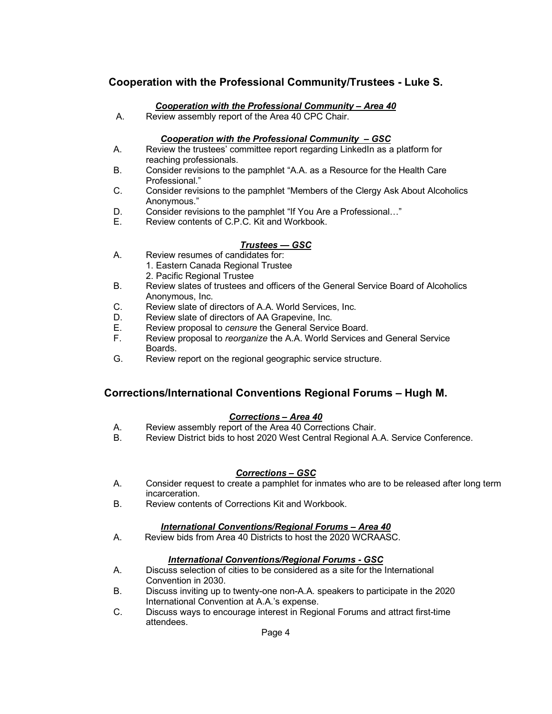## **Cooperation with the Professional Community/Trustees - Luke S.**

#### *Cooperation with the Professional Community – Area 40*

A. Review assembly report of the Area 40 CPC Chair.

#### *Cooperation with the Professional Community – GSC*

- A. Review the trustees' committee report regarding LinkedIn as a platform for reaching professionals.
- B. Consider revisions to the pamphlet "A.A. as a Resource for the Health Care Professional."
- C. Consider revisions to the pamphlet "Members of the Clergy Ask About Alcoholics Anonymous."
- D. Consider revisions to the pamphlet "If You Are a Professional…"
- E. Review contents of C.P.C. Kit and Workbook.

### *Trustees — GSC*

- A. Review resumes of candidates for:
	- 1. Eastern Canada Regional Trustee
	- 2. Pacific Regional Trustee
- B. Review slates of trustees and officers of the General Service Board of Alcoholics Anonymous, Inc.
- C. Review slate of directors of A.A. World Services, Inc.
- D. Review slate of directors of AA Grapevine, Inc.<br>E. Review proposal to *censure* the General Servic
- E. Review proposal to *censure* the General Service Board.
- F. Review proposal to *reorganize* the A.A. World Services and General Service Boards.
- G. Review report on the regional geographic service structure.

### **Corrections/International Conventions Regional Forums – Hugh M.**

#### *Corrections – Area 40*

- A. Review assembly report of the Area 40 Corrections Chair.
- B. Review District bids to host 2020 West Central Regional A.A. Service Conference.

#### *Corrections – GSC*

- A. Consider request to create a pamphlet for inmates who are to be released after long term incarceration.
- B. Review contents of Corrections Kit and Workbook.

#### *International Conventions/Regional Forums – Area 40*

A. Review bids from Area 40 Districts to host the 2020 WCRAASC.

#### *International Conventions/Regional Forums - GSC*

- A. Discuss selection of cities to be considered as a site for the International Convention in 2030.
- B. Discuss inviting up to twenty-one non-A.A. speakers to participate in the 2020 International Convention at A.A.'s expense.
- C. Discuss ways to encourage interest in Regional Forums and attract first-time attendees.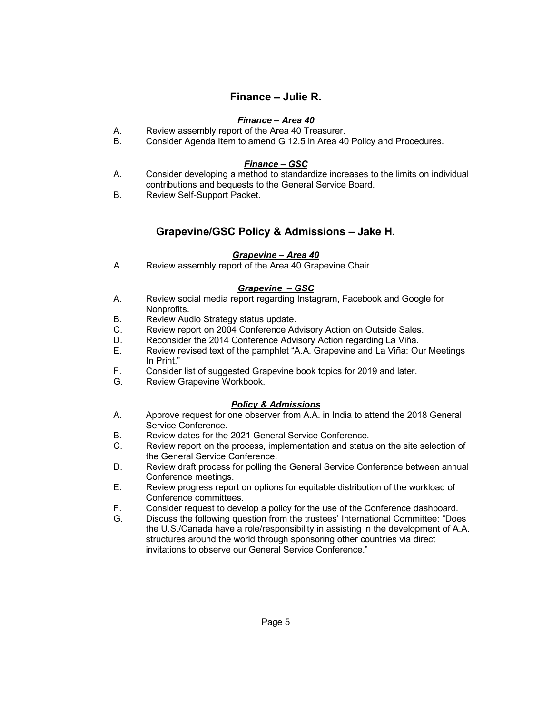## **Finance – Julie R.**

### *Finance – Area 40*

- A. Review assembly report of the Area 40 Treasurer.
- B. Consider Agenda Item to amend G 12.5 in Area 40 Policy and Procedures.

#### *Finance – GSC*

- A. Consider developing a method to standardize increases to the limits on individual contributions and bequests to the General Service Board.
- B. Review Self-Support Packet.

## **Grapevine/GSC Policy & Admissions – Jake H.**

#### *Grapevine – Area 40*

A. Review assembly report of the Area 40 Grapevine Chair.

### *Grapevine – GSC*

- A. Review social media report regarding Instagram, Facebook and Google for Nonprofits.
- B. Review Audio Strategy status update.
- C. Review report on 2004 Conference Advisory Action on Outside Sales.
- D. Reconsider the 2014 Conference Advisory Action regarding La Viña.
- E. Review revised text of the pamphlet "A.A. Grapevine and La Viña: Our Meetings In Print."
- F. Consider list of suggested Grapevine book topics for 2019 and later.
- Review Grapevine Workbook.

#### *Policy & Admissions*

- A. Approve request for one observer from A.A. in India to attend the 2018 General Service Conference.
- B. Review dates for the 2021 General Service Conference.
- C. Review report on the process, implementation and status on the site selection of the General Service Conference.
- D. Review draft process for polling the General Service Conference between annual Conference meetings.
- E. Review progress report on options for equitable distribution of the workload of Conference committees.
- F. Consider request to develop a policy for the use of the Conference dashboard.
- G. Discuss the following question from the trustees' International Committee: "Does the U.S./Canada have a role/responsibility in assisting in the development of A.A. structures around the world through sponsoring other countries via direct invitations to observe our General Service Conference."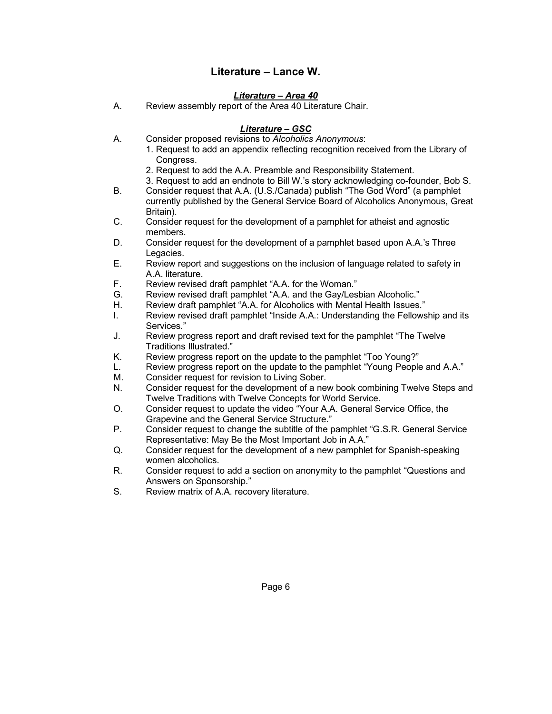## **Literature – Lance W.**

#### *Literature – Area 40*

A. Review assembly report of the Area 40 Literature Chair.

#### *Literature – GSC*

- A. Consider proposed revisions to *Alcoholics Anonymous*:
	- 1. Request to add an appendix reflecting recognition received from the Library of Congress.
	- 2. Request to add the A.A. Preamble and Responsibility Statement.
	- 3. Request to add an endnote to Bill W.'s story acknowledging co-founder, Bob S.
- B. Consider request that A.A. (U.S./Canada) publish "The God Word" (a pamphlet currently published by the General Service Board of Alcoholics Anonymous, Great Britain).
- C. Consider request for the development of a pamphlet for atheist and agnostic members.
- D. Consider request for the development of a pamphlet based upon A.A.'s Three Legacies.
- E. Review report and suggestions on the inclusion of language related to safety in A.A. literature.
- F. Review revised draft pamphlet "A.A. for the Woman."
- G. Review revised draft pamphlet "A.A. and the Gay/Lesbian Alcoholic."
- H. Review draft pamphlet "A.A. for Alcoholics with Mental Health Issues."
- I. Review revised draft pamphlet "Inside A.A.: Understanding the Fellowship and its Services."
- J. Review progress report and draft revised text for the pamphlet "The Twelve Traditions Illustrated."
- K. Review progress report on the update to the pamphlet "Too Young?"
- L. Review progress report on the update to the pamphlet "Young People and A.A."
- M. Consider request for revision to Living Sober.
- N. Consider request for the development of a new book combining Twelve Steps and Twelve Traditions with Twelve Concepts for World Service.
- O. Consider request to update the video "Your A.A. General Service Office, the Grapevine and the General Service Structure."
- P. Consider request to change the subtitle of the pamphlet "G.S.R. General Service Representative: May Be the Most Important Job in A.A."
- Q. Consider request for the development of a new pamphlet for Spanish-speaking women alcoholics.
- R. Consider request to add a section on anonymity to the pamphlet "Questions and Answers on Sponsorship."
- S. Review matrix of A.A. recovery literature.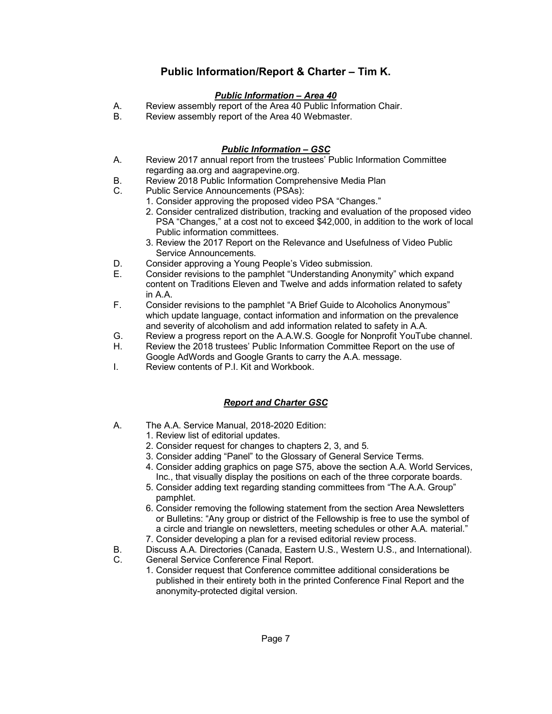# **Public Information/Report & Charter – Tim K.**

## *Public Information – Area 40*

- A. Review assembly report of the Area 40 Public Information Chair.
- B. Review assembly report of the Area 40 Webmaster.

## *Public Information – GSC*

- A. Review 2017 annual report from the trustees' Public Information Committee regarding aa.org and aagrapevine.org.
- B. Review 2018 Public Information Comprehensive Media Plan
- C. Public Service Announcements (PSAs):
	- 1. Consider approving the proposed video PSA "Changes."
		- 2. Consider centralized distribution, tracking and evaluation of the proposed video PSA "Changes," at a cost not to exceed \$42,000, in addition to the work of local Public information committees.
		- 3. Review the 2017 Report on the Relevance and Usefulness of Video Public Service Announcements.
- D. Consider approving a Young People's Video submission.
- E. Consider revisions to the pamphlet "Understanding Anonymity" which expand content on Traditions Eleven and Twelve and adds information related to safety in A.A.
- F. Consider revisions to the pamphlet "A Brief Guide to Alcoholics Anonymous" which update language, contact information and information on the prevalence and severity of alcoholism and add information related to safety in A.A.
- G. Review a progress report on the A.A.W.S. Google for Nonprofit YouTube channel.
- H. Review the 2018 trustees' Public Information Committee Report on the use of Google AdWords and Google Grants to carry the A.A. message.
- I. Review contents of P.I. Kit and Workbook.

## *Report and Charter GSC*

- A. The A.A. Service Manual, 2018-2020 Edition:
	- 1. Review list of editorial updates.
	- 2. Consider request for changes to chapters 2, 3, and 5.
	- 3. Consider adding "Panel" to the Glossary of General Service Terms.
	- 4. Consider adding graphics on page S75, above the section A.A. World Services, Inc., that visually display the positions on each of the three corporate boards.
	- 5. Consider adding text regarding standing committees from "The A.A. Group" pamphlet.
	- 6. Consider removing the following statement from the section Area Newsletters or Bulletins: "Any group or district of the Fellowship is free to use the symbol of a circle and triangle on newsletters, meeting schedules or other A.A. material." 7. Consider developing a plan for a revised editorial review process.
- B. Discuss A.A. Directories (Canada, Eastern U.S., Western U.S., and International).
- C. General Service Conference Final Report.
	- 1. Consider request that Conference committee additional considerations be published in their entirety both in the printed Conference Final Report and the anonymity-protected digital version.